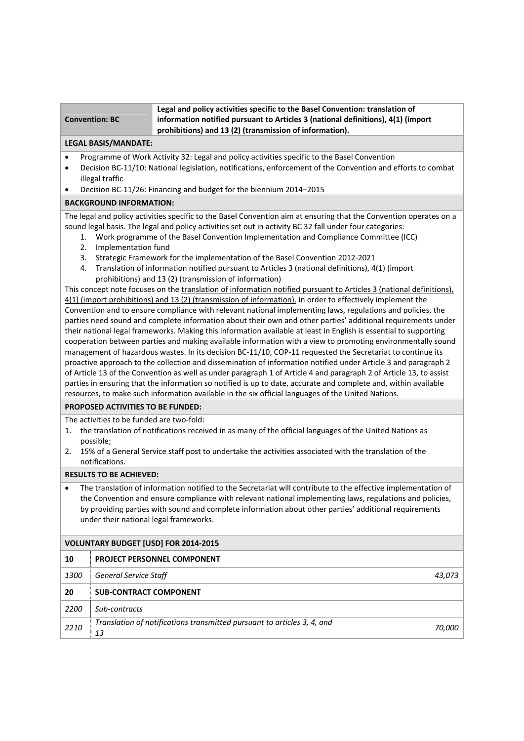|                       | $_4$ Legal and policy activities specific to the Basel Convention: translation of       |  |  |
|-----------------------|-----------------------------------------------------------------------------------------|--|--|
| <b>Convention: BC</b> | $\mid$ information notified pursuant to Articles 3 (national definitions), 4(1) (import |  |  |
|                       | prohibitions) and 13 (2) (transmission of information).                                 |  |  |

## **LEGAL BASIS/MANDATE:**

- Programme of Work Activity 32: Legal and policy activities specific to the Basel Convention
- Decision BC-11/10: National legislation, notifications, enforcement of the Convention and efforts to combat illegal traffic
- Decision BC‐11/26: Financing and budget for the biennium 2014–2015

## **BACKGROUND INFORMATION:**

The legal and policy activities specific to the Basel Convention aim at ensuring that the Convention operates on a sound legal basis. The legal and policy activities set out in activity BC 32 fall under four categories:

- 1. Work programme of the Basel Convention Implementation and Compliance Committee (ICC)
- 2. Implementation fund
- 3. Strategic Framework for the implementation of the Basel Convention 2012‐2021
- 4. Translation of information notified pursuant to Articles 3 (national definitions), 4(1) (import prohibitions) and 13 (2) (transmission of information)

This concept note focuses on the translation of information notified pursuant to Articles 3 (national definitions), 4(1) (import prohibitions) and 13 (2) (transmission of information). In order to effectively implement the Convention and to ensure compliance with relevant national implementing laws, regulations and policies, the parties need sound and complete information about their own and other parties' additional requirements under their national legal frameworks. Making this information available at least in English is essential to supporting cooperation between parties and making available information with a view to promoting environmentally sound management of hazardous wastes. In its decision BC-11/10, COP-11 requested the Secretariat to continue its proactive approach to the collection and dissemination of information notified under Article 3 and paragraph 2 of Article 13 of the Convention as well as under paragraph 1 of Article 4 and paragraph 2 of Article 13, to assist parties in ensuring that the information so notified is up to date, accurate and complete and, within available resources, to make such information available in the six official languages of the United Nations.

## **PROPOSED ACTIVITIES TO BE FUNDED:**

The activities to be funded are two-fold:

- 1. the translation of notifications received in as many of the official languages of the United Nations as possible;
- 2. 15% of a General Service staff post to undertake the activities associated with the translation of the notifications.

## **RESULTS TO BE ACHIEVED:**

 The translation of information notified to the Secretariat will contribute to the effective implementation of the Convention and ensure compliance with relevant national implementing laws, regulations and policies, by providing parties with sound and complete information about other parties' additional requirements under their national legal frameworks.

# **VOLUNTARY BUDGET [USD] FOR 2014‐2015**

| 10          | <b>PROJECT PERSONNEL COMPONENT</b>                                            |        |
|-------------|-------------------------------------------------------------------------------|--------|
| <i>1300</i> | <b>General Service Staff</b>                                                  | 43,073 |
| 20          | <b>SUB-CONTRACT COMPONENT</b>                                                 |        |
| 2200        | Sub-contracts                                                                 |        |
| 2210        | Translation of notifications transmitted pursuant to articles 3, 4, and<br>13 | 70,000 |